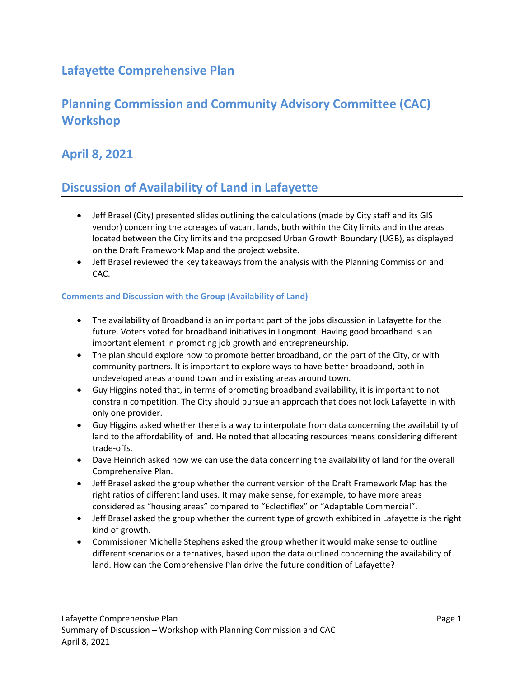### **Lafayette Comprehensive Plan**

# **Planning Commission and Community Advisory Committee (CAC) Workshop**

### **April 8, 2021**

# **Discussion of Availability of Land in Lafayette**

- Jeff Brasel (City) presented slides outlining the calculations (made by City staff and its GIS vendor) concerning the acreages of vacant lands, both within the City limits and in the areas located between the City limits and the proposed Urban Growth Boundary (UGB), as displayed on the Draft Framework Map and the project website.
- Jeff Brasel reviewed the key takeaways from the analysis with the Planning Commission and CAC.

#### **Comments and Discussion with the Group (Availability of Land)**

- The availability of Broadband is an important part of the jobs discussion in Lafayette for the future. Voters voted for broadband initiatives in Longmont. Having good broadband is an important element in promoting job growth and entrepreneurship.
- The plan should explore how to promote better broadband, on the part of the City, or with community partners. It is important to explore ways to have better broadband, both in undeveloped areas around town and in existing areas around town.
- Guy Higgins noted that, in terms of promoting broadband availability, it is important to not constrain competition. The City should pursue an approach that does not lock Lafayette in with only one provider.
- Guy Higgins asked whether there is a way to interpolate from data concerning the availability of land to the affordability of land. He noted that allocating resources means considering different trade‐offs.
- Dave Heinrich asked how we can use the data concerning the availability of land for the overall Comprehensive Plan.
- Jeff Brasel asked the group whether the current version of the Draft Framework Map has the right ratios of different land uses. It may make sense, for example, to have more areas considered as "housing areas" compared to "Eclectiflex" or "Adaptable Commercial".
- Jeff Brasel asked the group whether the current type of growth exhibited in Lafayette is the right kind of growth.
- Commissioner Michelle Stephens asked the group whether it would make sense to outline different scenarios or alternatives, based upon the data outlined concerning the availability of land. How can the Comprehensive Plan drive the future condition of Lafayette?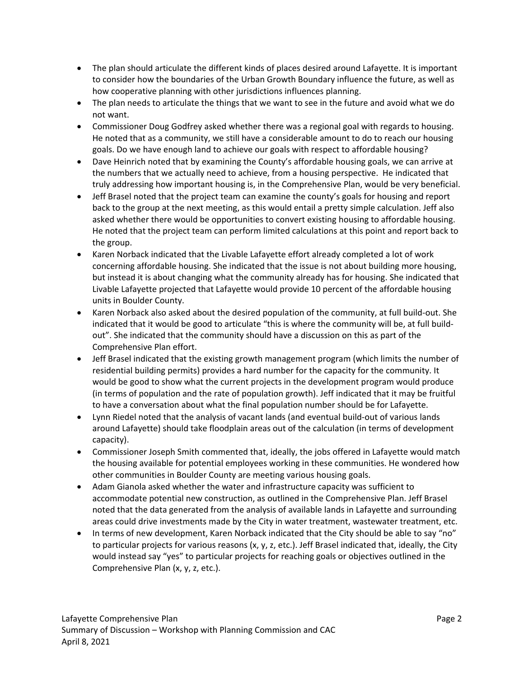- The plan should articulate the different kinds of places desired around Lafayette. It is important to consider how the boundaries of the Urban Growth Boundary influence the future, as well as how cooperative planning with other jurisdictions influences planning.
- The plan needs to articulate the things that we want to see in the future and avoid what we do not want.
- Commissioner Doug Godfrey asked whether there was a regional goal with regards to housing. He noted that as a community, we still have a considerable amount to do to reach our housing goals. Do we have enough land to achieve our goals with respect to affordable housing?
- Dave Heinrich noted that by examining the County's affordable housing goals, we can arrive at the numbers that we actually need to achieve, from a housing perspective. He indicated that truly addressing how important housing is, in the Comprehensive Plan, would be very beneficial.
- Jeff Brasel noted that the project team can examine the county's goals for housing and report back to the group at the next meeting, as this would entail a pretty simple calculation. Jeff also asked whether there would be opportunities to convert existing housing to affordable housing. He noted that the project team can perform limited calculations at this point and report back to the group.
- Karen Norback indicated that the Livable Lafayette effort already completed a lot of work concerning affordable housing. She indicated that the issue is not about building more housing, but instead it is about changing what the community already has for housing. She indicated that Livable Lafayette projected that Lafayette would provide 10 percent of the affordable housing units in Boulder County.
- Karen Norback also asked about the desired population of the community, at full build-out. She indicated that it would be good to articulate "this is where the community will be, at full build‐ out". She indicated that the community should have a discussion on this as part of the Comprehensive Plan effort.
- Jeff Brasel indicated that the existing growth management program (which limits the number of residential building permits) provides a hard number for the capacity for the community. It would be good to show what the current projects in the development program would produce (in terms of population and the rate of population growth). Jeff indicated that it may be fruitful to have a conversation about what the final population number should be for Lafayette.
- Lynn Riedel noted that the analysis of vacant lands (and eventual build‐out of various lands around Lafayette) should take floodplain areas out of the calculation (in terms of development capacity).
- Commissioner Joseph Smith commented that, ideally, the jobs offered in Lafayette would match the housing available for potential employees working in these communities. He wondered how other communities in Boulder County are meeting various housing goals.
- Adam Gianola asked whether the water and infrastructure capacity was sufficient to accommodate potential new construction, as outlined in the Comprehensive Plan. Jeff Brasel noted that the data generated from the analysis of available lands in Lafayette and surrounding areas could drive investments made by the City in water treatment, wastewater treatment, etc.
- In terms of new development, Karen Norback indicated that the City should be able to say "no" to particular projects for various reasons (x, y, z, etc.). Jeff Brasel indicated that, ideally, the City would instead say "yes" to particular projects for reaching goals or objectives outlined in the Comprehensive Plan (x, y, z, etc.).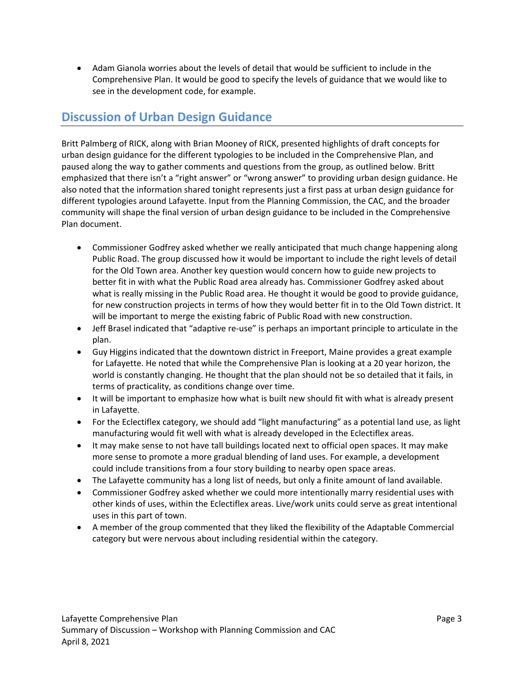Adam Gianola worries about the levels of detail that would be sufficient to include in the Comprehensive Plan. It would be good to specify the levels of guidance that we would like to see in the development code, for example.

### **Discussion of Urban Design Guidance**

Britt Palmberg of RICK, along with Brian Mooney of RICK, presented highlights of draft concepts for urban design guidance for the different typologies to be included in the Comprehensive Plan, and paused along the way to gather comments and questions from the group, as outlined below. Britt emphasized that there isn't a "right answer" or "wrong answer" to providing urban design guidance. He also noted that the information shared tonight represents just a first pass at urban design guidance for different typologies around Lafayette. Input from the Planning Commission, the CAC, and the broader community will shape the final version of urban design guidance to be included in the Comprehensive Plan document.

- Commissioner Godfrey asked whether we really anticipated that much change happening along Public Road. The group discussed how it would be important to include the right levels of detail for the Old Town area. Another key question would concern how to guide new projects to better fit in with what the Public Road area already has. Commissioner Godfrey asked about what is really missing in the Public Road area. He thought it would be good to provide guidance, for new construction projects in terms of how they would better fit in to the Old Town district. It will be important to merge the existing fabric of Public Road with new construction.
- Jeff Brasel indicated that "adaptive re-use" is perhaps an important principle to articulate in the plan.
- Guy Higgins indicated that the downtown district in Freeport, Maine provides a great example for Lafayette. He noted that while the Comprehensive Plan is looking at a 20 year horizon, the world is constantly changing. He thought that the plan should not be so detailed that it fails, in terms of practicality, as conditions change over time.
- It will be important to emphasize how what is built new should fit with what is already present in Lafayette.
- For the Eclectiflex category, we should add "light manufacturing" as a potential land use, as light manufacturing would fit well with what is already developed in the Eclectiflex areas.
- It may make sense to not have tall buildings located next to official open spaces. It may make more sense to promote a more gradual blending of land uses. For example, a development could include transitions from a four story building to nearby open space areas.
- The Lafayette community has a long list of needs, but only a finite amount of land available.
- Commissioner Godfrey asked whether we could more intentionally marry residential uses with other kinds of uses, within the Eclectiflex areas. Live/work units could serve as great intentional uses in this part of town.
- A member of the group commented that they liked the flexibility of the Adaptable Commercial category but were nervous about including residential within the category.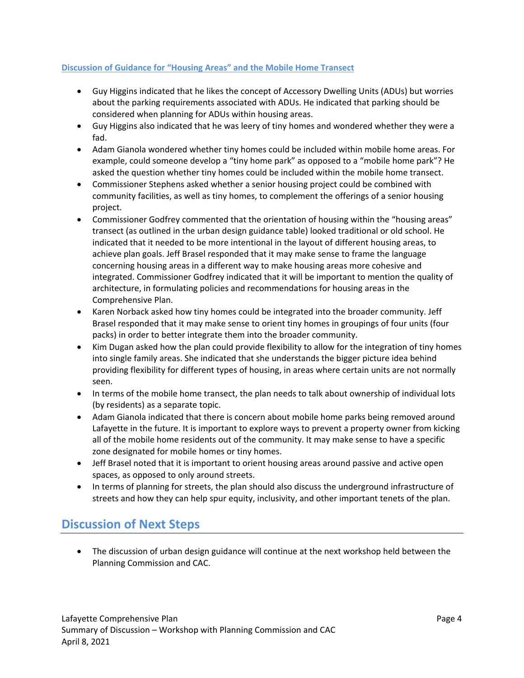#### **Discussion of Guidance for "Housing Areas" and the Mobile Home Transect**

- Guy Higgins indicated that he likes the concept of Accessory Dwelling Units (ADUs) but worries about the parking requirements associated with ADUs. He indicated that parking should be considered when planning for ADUs within housing areas.
- Guy Higgins also indicated that he was leery of tiny homes and wondered whether they were a fad.
- Adam Gianola wondered whether tiny homes could be included within mobile home areas. For example, could someone develop a "tiny home park" as opposed to a "mobile home park"? He asked the question whether tiny homes could be included within the mobile home transect.
- Commissioner Stephens asked whether a senior housing project could be combined with community facilities, as well as tiny homes, to complement the offerings of a senior housing project.
- Commissioner Godfrey commented that the orientation of housing within the "housing areas" transect (as outlined in the urban design guidance table) looked traditional or old school. He indicated that it needed to be more intentional in the layout of different housing areas, to achieve plan goals. Jeff Brasel responded that it may make sense to frame the language concerning housing areas in a different way to make housing areas more cohesive and integrated. Commissioner Godfrey indicated that it will be important to mention the quality of architecture, in formulating policies and recommendations for housing areas in the Comprehensive Plan.
- Karen Norback asked how tiny homes could be integrated into the broader community. Jeff Brasel responded that it may make sense to orient tiny homes in groupings of four units (four packs) in order to better integrate them into the broader community.
- Kim Dugan asked how the plan could provide flexibility to allow for the integration of tiny homes into single family areas. She indicated that she understands the bigger picture idea behind providing flexibility for different types of housing, in areas where certain units are not normally seen.
- In terms of the mobile home transect, the plan needs to talk about ownership of individual lots (by residents) as a separate topic.
- Adam Gianola indicated that there is concern about mobile home parks being removed around Lafayette in the future. It is important to explore ways to prevent a property owner from kicking all of the mobile home residents out of the community. It may make sense to have a specific zone designated for mobile homes or tiny homes.
- Jeff Brasel noted that it is important to orient housing areas around passive and active open spaces, as opposed to only around streets.
- In terms of planning for streets, the plan should also discuss the underground infrastructure of streets and how they can help spur equity, inclusivity, and other important tenets of the plan.

# **Discussion of Next Steps**

 The discussion of urban design guidance will continue at the next workshop held between the Planning Commission and CAC.